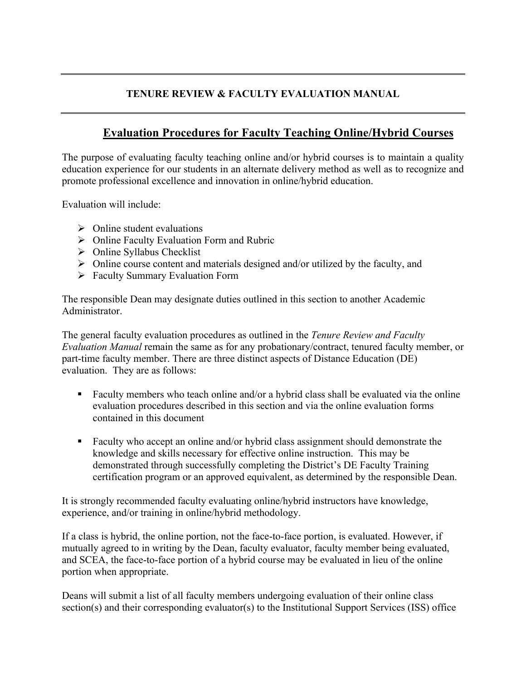## **TENURE REVIEW & FACULTY EVALUATION MANUAL**

# **Evaluation Procedures for Faculty Teaching Online/Hybrid Courses**

The purpose of evaluating faculty teaching online and/or hybrid courses is to maintain a quality education experience for our students in an alternate delivery method as well as to recognize and promote professional excellence and innovation in online/hybrid education.

Evaluation will include:

- $\triangleright$  Online student evaluations
- $\triangleright$  Online Faculty Evaluation Form and Rubric
- $\triangleright$  Online Syllabus Checklist
- $\triangleright$  Online course content and materials designed and/or utilized by the faculty, and
- ▶ Faculty Summary Evaluation Form

The responsible Dean may designate duties outlined in this section to another Academic Administrator.

The general faculty evaluation procedures as outlined in the *Tenure Review and Faculty Evaluation Manual* remain the same as for any probationary/contract, tenured faculty member, or part-time faculty member. There are three distinct aspects of Distance Education (DE) evaluation. They are as follows:

- " Faculty members who teach online and/or a hybrid class shall be evaluated via the online evaluation procedures described in this section and via the online evaluation forms contained in this document
- " Faculty who accept an online and/or hybrid class assignment should demonstrate the knowledge and skills necessary for effective online instruction. This may be demonstrated through successfully completing the District's DE Faculty Training certification program or an approved equivalent, as determined by the responsible Dean.

It is strongly recommended faculty evaluating online/hybrid instructors have knowledge, experience, and/or training in online/hybrid methodology.

If a class is hybrid, the online portion, not the face-to-face portion, is evaluated. However, if mutually agreed to in writing by the Dean, faculty evaluator, faculty member being evaluated, and SCEA, the face-to-face portion of a hybrid course may be evaluated in lieu of the online portion when appropriate.

Deans will submit a list of all faculty members undergoing evaluation of their online class section(s) and their corresponding evaluator(s) to the Institutional Support Services (ISS) office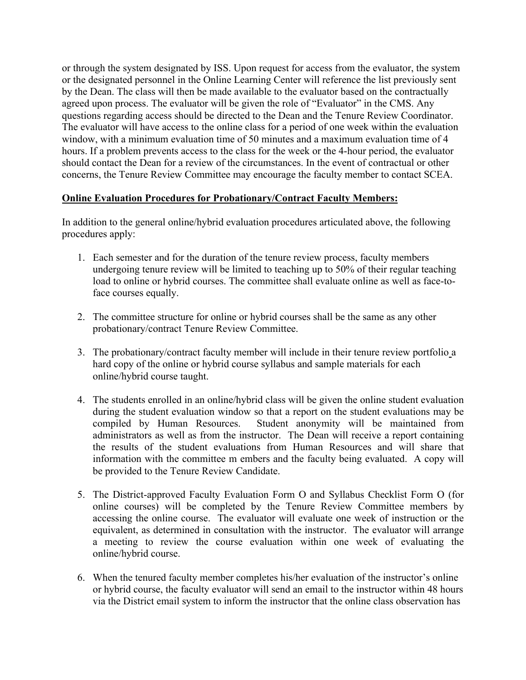or through the system designated by ISS. Upon request for access from the evaluator, the system or the designated personnel in the Online Learning Center will reference the list previously sent by the Dean. The class will then be made available to the evaluator based on the contractually agreed upon process. The evaluator will be given the role of "Evaluator" in the CMS. Any questions regarding access should be directed to the Dean and the Tenure Review Coordinator. The evaluator will have access to the online class for a period of one week within the evaluation window, with a minimum evaluation time of 50 minutes and a maximum evaluation time of 4 hours. If a problem prevents access to the class for the week or the 4-hour period, the evaluator should contact the Dean for a review of the circumstances. In the event of contractual or other concerns, the Tenure Review Committee may encourage the faculty member to contact SCEA.

### **Online Evaluation Procedures for Probationary/Contract Faculty Members:**

In addition to the general online/hybrid evaluation procedures articulated above, the following procedures apply:

- 1. Each semester and for the duration of the tenure review process, faculty members undergoing tenure review will be limited to teaching up to 50% of their regular teaching load to online or hybrid courses. The committee shall evaluate online as well as face-toface courses equally.
- 2. The committee structure for online or hybrid courses shall be the same as any other probationary/contract Tenure Review Committee.
- 3. The probationary/contract faculty member will include in their tenure review portfolio a hard copy of the online or hybrid course syllabus and sample materials for each online/hybrid course taught.
- 4. The students enrolled in an online/hybrid class will be given the online student evaluation during the student evaluation window so that a report on the student evaluations may be compiled by Human Resources. Student anonymity will be maintained from administrators as well as from the instructor. The Dean will receive a report containing the results of the student evaluations from Human Resources and will share that information with the committee m embers and the faculty being evaluated. A copy will be provided to the Tenure Review Candidate.
- 5. The District-approved Faculty Evaluation Form O and Syllabus Checklist Form O (for online courses) will be completed by the Tenure Review Committee members by accessing the online course. The evaluator will evaluate one week of instruction or the equivalent, as determined in consultation with the instructor. The evaluator will arrange a meeting to review the course evaluation within one week of evaluating the online/hybrid course.
- 6. When the tenured faculty member completes his/her evaluation of the instructor's online or hybrid course, the faculty evaluator will send an email to the instructor within 48 hours via the District email system to inform the instructor that the online class observation has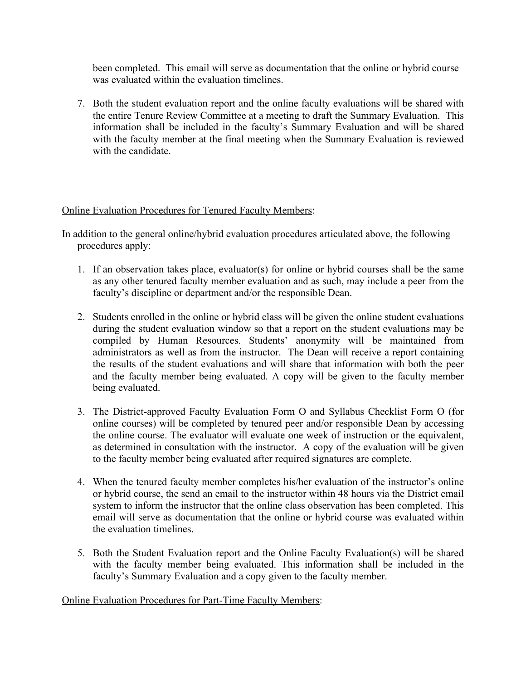been completed. This email will serve as documentation that the online or hybrid course was evaluated within the evaluation timelines.

7. Both the student evaluation report and the online faculty evaluations will be shared with the entire Tenure Review Committee at a meeting to draft the Summary Evaluation. This information shall be included in the faculty's Summary Evaluation and will be shared with the faculty member at the final meeting when the Summary Evaluation is reviewed with the candidate

### Online Evaluation Procedures for Tenured Faculty Members:

In addition to the general online/hybrid evaluation procedures articulated above, the following procedures apply:

- 1. If an observation takes place, evaluator(s) for online or hybrid courses shall be the same as any other tenured faculty member evaluation and as such, may include a peer from the faculty's discipline or department and/or the responsible Dean.
- 2. Students enrolled in the online or hybrid class will be given the online student evaluations during the student evaluation window so that a report on the student evaluations may be compiled by Human Resources. Students' anonymity will be maintained from administrators as well as from the instructor. The Dean will receive a report containing the results of the student evaluations and will share that information with both the peer and the faculty member being evaluated. A copy will be given to the faculty member being evaluated.
- 3. The District-approved Faculty Evaluation Form O and Syllabus Checklist Form O (for online courses) will be completed by tenured peer and/or responsible Dean by accessing the online course. The evaluator will evaluate one week of instruction or the equivalent, as determined in consultation with the instructor. A copy of the evaluation will be given to the faculty member being evaluated after required signatures are complete.
- 4. When the tenured faculty member completes his/her evaluation of the instructor's online or hybrid course, the send an email to the instructor within 48 hours via the District email system to inform the instructor that the online class observation has been completed. This email will serve as documentation that the online or hybrid course was evaluated within the evaluation timelines.
- 5. Both the Student Evaluation report and the Online Faculty Evaluation(s) will be shared with the faculty member being evaluated. This information shall be included in the faculty's Summary Evaluation and a copy given to the faculty member.

#### Online Evaluation Procedures for Part-Time Faculty Members: